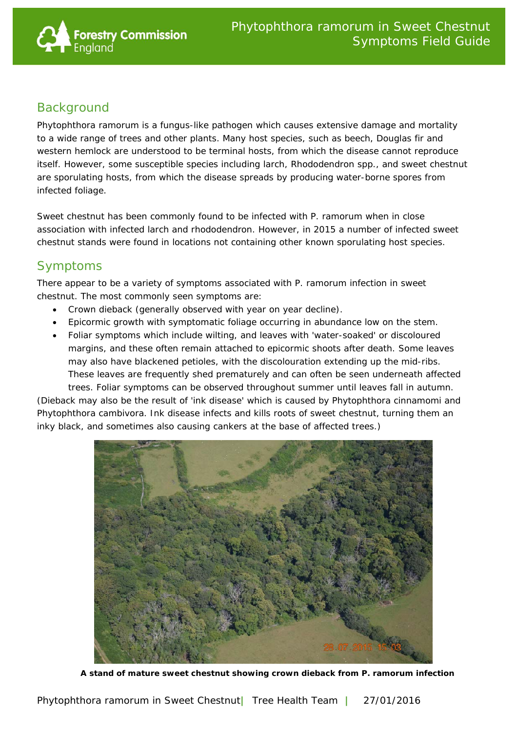

## **Background**

*Phytophthora ramorum* is a fungus-like pathogen which causes extensive damage and mortality to a wide range of trees and other plants. Many host species, such as beech, Douglas fir and western hemlock are understood to be terminal hosts, from which the disease cannot reproduce itself. However, some susceptible species including larch, *Rhododendron* spp*.*, and sweet chestnut are *sporulating hosts*, from which the disease spreads by producing water-borne spores from infected foliage.

Sweet chestnut has been commonly found to be infected with *P. ramorum* when in close association with infected larch and rhododendron. However, in 2015 a number of infected sweet chestnut stands were found in locations not containing other known sporulating host species.

## Symptoms

There appear to be a variety of symptoms associated with *P. ramorum* infection in sweet chestnut. The most commonly seen symptoms are:

- Crown dieback (generally observed with year on year decline).
- Epicormic growth with symptomatic foliage occurring in abundance low on the stem.
- Foliar symptoms which include wilting, and leaves with 'water-soaked' or discoloured margins, and these often remain attached to epicormic shoots after death. Some leaves may also have blackened petioles, with the discolouration extending up the mid-ribs. These leaves are frequently shed prematurely and can often be seen underneath affected trees. Foliar symptoms can be observed throughout summer until leaves fall in autumn.

(Dieback may also be the result of 'ink disease' which is caused by *Phytophthora cinnamomi and Phytophthora cambivora*. Ink disease infects and kills roots of sweet chestnut, turning them an inky black, and sometimes also causing cankers at the base of affected trees.)



**A stand of mature sweet chestnut showing crown dieback from** *P. ramorum* **infection**